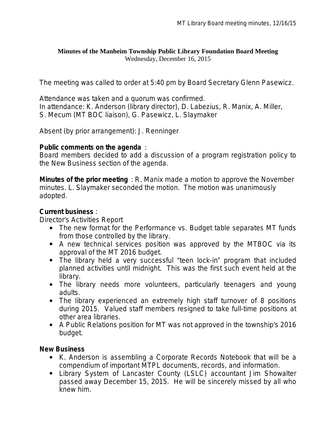#### **Minutes of the Manheim Township Public Library Foundation Board Meeting** Wednesday, December 16, 2015

The meeting was called to order at 5:40 pm by Board Secretary Glenn Pasewicz.

Attendance was taken and a quorum was confirmed. In attendance: K. Anderson (library director), D. Labezius, R. Manix, A. Miller, S. Mecum (MT BOC liaison), G. Pasewicz, L. Slaymaker

Absent (by prior arrangement): J. Renninger

#### **Public comments on the agenda** :

Board members decided to add a discussion of a program registration policy to the New Business section of the agenda.

**Minutes of the prior meeting** : R. Manix made a motion to approve the November minutes. L. Slaymaker seconded the motion. The motion was unanimously adopted.

## **Current business** :

Director's Activities Report

- The new format for the Performance vs. Budget table separates MT funds from those controlled by the library.
- A new technical services position was approved by the MTBOC via its approval of the MT 2016 budget.
- The library held a very successful "teen lock-in" program that included planned activities until midnight. This was the first such event held at the library.
- The library needs more volunteers, particularly teenagers and young adults.
- The library experienced an extremely high staff turnover of 8 positions during 2015. Valued staff members resigned to take full-time positions at other area libraries.
- A Public Relations position for MT was not approved in the township's 2016 budget.

## **New Business**

- K. Anderson is assembling a Corporate Records Notebook that will be a compendium of important MTPL documents, records, and information.
- Library System of Lancaster County (LSLC) accountant Jim Showalter passed away December 15, 2015. He will be sincerely missed by all who knew him.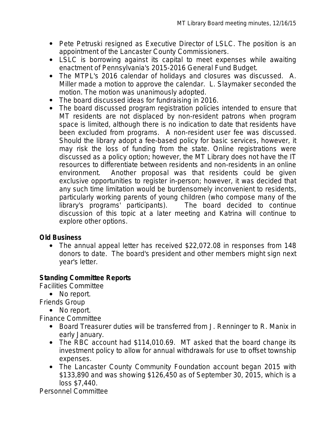- Pete Petruski resigned as Executive Director of LSLC. The position is an appointment of the Lancaster County Commissioners.
- LSLC is borrowing against its capital to meet expenses while awaiting enactment of Pennsylvania's 2015-2016 General Fund Budget.
- The MTPL's 2016 calendar of holidays and closures was discussed. A. Miller made a motion to approve the calendar. L. Slaymaker seconded the motion. The motion was unanimously adopted.
- The board discussed ideas for fundraising in 2016.
- The board discussed program registration policies intended to ensure that MT residents are not displaced by non-resident patrons when program space is limited, although there is no indication to date that residents have been excluded from programs. A non-resident user fee was discussed. Should the library adopt a fee-based policy for basic services, however, it may risk the loss of funding from the state. Online registrations were discussed as a policy option; however, the MT Library does not have the IT resources to differentiate between residents and non-residents in an online environment. Another proposal was that residents could be given exclusive opportunities to register in-person; however, it was decided that any such time limitation would be burdensomely inconvenient to residents, particularly working parents of young children (who compose many of the library's programs' participants). The board decided to continue discussion of this topic at a later meeting and Katrina will continue to explore other options.

## **Old Business**

 The annual appeal letter has received \$22,072.08 in responses from 148 donors to date. The board's president and other members might sign next year's letter.

## **Standing Committee Reports**

Facilities Committee

• No report.

Friends Group

• No report.

Finance Committee

- Board Treasurer duties will be transferred from J. Renninger to R. Manix in early January.
- The RBC account had \$114,010.69. MT asked that the board change its investment policy to allow for annual withdrawals for use to offset township expenses.
- The Lancaster County Community Foundation account began 2015 with \$133,890 and was showing \$126,450 as of September 30, 2015, which is a loss \$7,440.

Personnel Committee